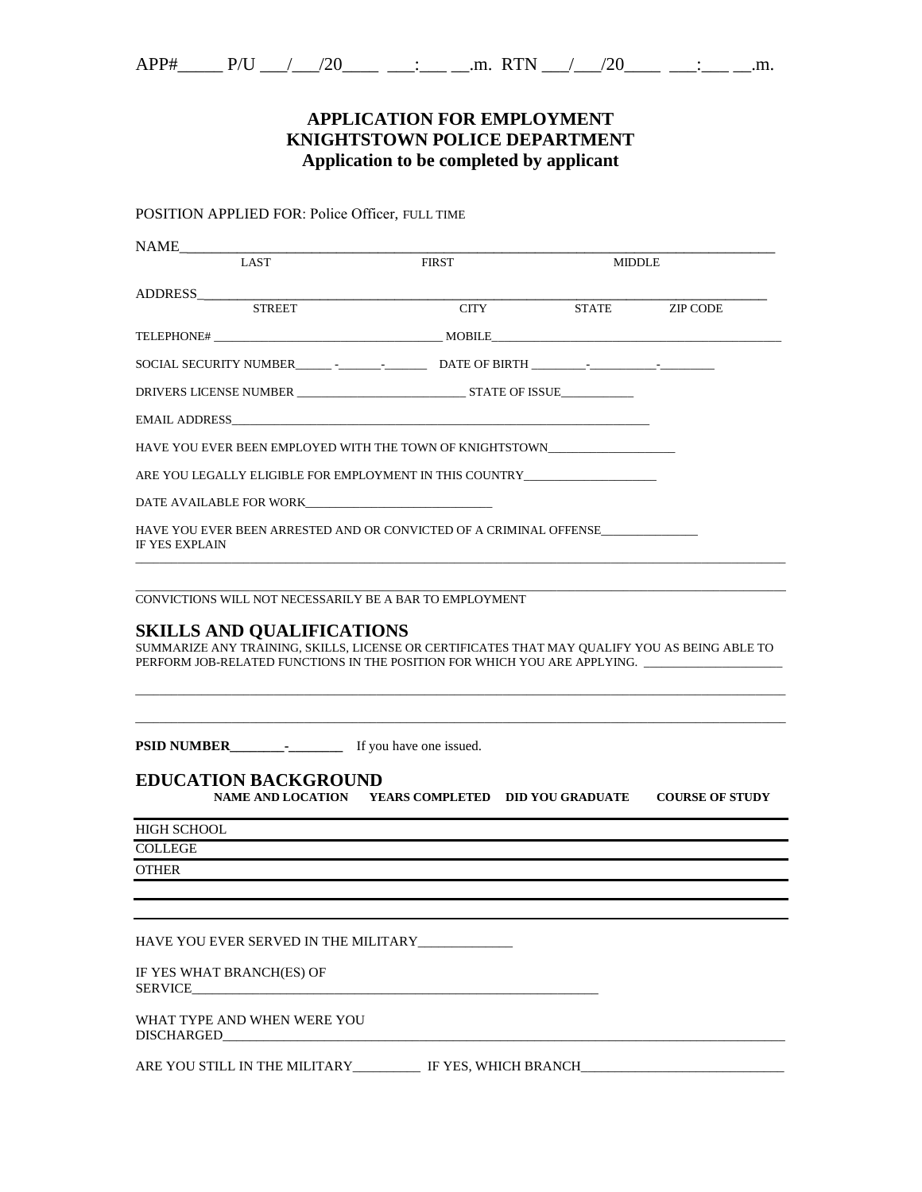### **APPLICATION FOR EMPLOYMENT KNIGHTSTOWN POLICE DEPARTMENT Application to be completed by applicant**

POSITION APPLIED FOR: Police Officer, FULL TIME

| NAME                                                                                                                                                                                                                           |                                                                                                                      |        |          |
|--------------------------------------------------------------------------------------------------------------------------------------------------------------------------------------------------------------------------------|----------------------------------------------------------------------------------------------------------------------|--------|----------|
| LAST                                                                                                                                                                                                                           | <b>FIRST</b>                                                                                                         | MIDDLE |          |
|                                                                                                                                                                                                                                |                                                                                                                      |        |          |
| <b>STREET</b>                                                                                                                                                                                                                  | <b>CITY</b>                                                                                                          | STATE  | ZIP CODE |
|                                                                                                                                                                                                                                |                                                                                                                      |        |          |
|                                                                                                                                                                                                                                |                                                                                                                      |        |          |
|                                                                                                                                                                                                                                |                                                                                                                      |        |          |
| EMAIL ADDRESS FOR THE STATE OF THE STATE OF THE STATE OF THE STATE OF THE STATE OF THE STATE OF THE STATE OF THE STATE OF THE STATE OF THE STATE OF THE STATE OF THE STATE OF THE STATE OF THE STATE OF THE STATE OF THE STATE |                                                                                                                      |        |          |
| HAVE YOU EVER BEEN EMPLOYED WITH THE TOWN OF KNIGHTSTOWN                                                                                                                                                                       |                                                                                                                      |        |          |
| ARE YOU LEGALLY ELIGIBLE FOR EMPLOYMENT IN THIS COUNTRY                                                                                                                                                                        |                                                                                                                      |        |          |
| DATE AVAILABLE FOR WORK                                                                                                                                                                                                        |                                                                                                                      |        |          |
| HAVE YOU EVER BEEN ARRESTED AND OR CONVICTED OF A CRIMINAL OFFENSE<br><b>IF YES EXPLAIN</b>                                                                                                                                    |                                                                                                                      |        |          |
| <b>SKILLS AND QUALIFICATIONS</b><br>SUMMARIZE ANY TRAINING, SKILLS, LICENSE OR CERTIFICATES THAT MAY QUALIFY YOU AS BEING ABLE TO<br>PERFORM JOB-RELATED FUNCTIONS IN THE POSITION FOR WHICH YOU ARE APPLYING.                 |                                                                                                                      |        |          |
| <b>EDUCATION BACKGROUND</b>                                                                                                                                                                                                    |                                                                                                                      |        |          |
|                                                                                                                                                                                                                                | NAME AND LOCATION YEARS COMPLETED DID YOU GRADUATE COURSE OF STUDY                                                   |        |          |
| HIGH SCHOOL                                                                                                                                                                                                                    |                                                                                                                      |        |          |
| <b>COLLEGE</b>                                                                                                                                                                                                                 |                                                                                                                      |        |          |
| <b>OTHER</b>                                                                                                                                                                                                                   |                                                                                                                      |        |          |
|                                                                                                                                                                                                                                |                                                                                                                      |        |          |
| HAVE YOU EVER SERVED IN THE MILITARY                                                                                                                                                                                           |                                                                                                                      |        |          |
| IF YES WHAT BRANCH(ES) OF<br><b>SERVICE</b>                                                                                                                                                                                    | <u> 1980 - John Stein, mars and de Britain and de Britain and de Britain and de Britain and de Britain and de Br</u> |        |          |
| WHAT TYPE AND WHEN WERE YOU<br><b>DISCHARGED</b>                                                                                                                                                                               |                                                                                                                      |        |          |
| ARE YOU STILL IN THE MILITARY IF YES, WHICH BRANCH COMMUNICATION OF THE MILITARY IF YES, WHICH BRANCH                                                                                                                          |                                                                                                                      |        |          |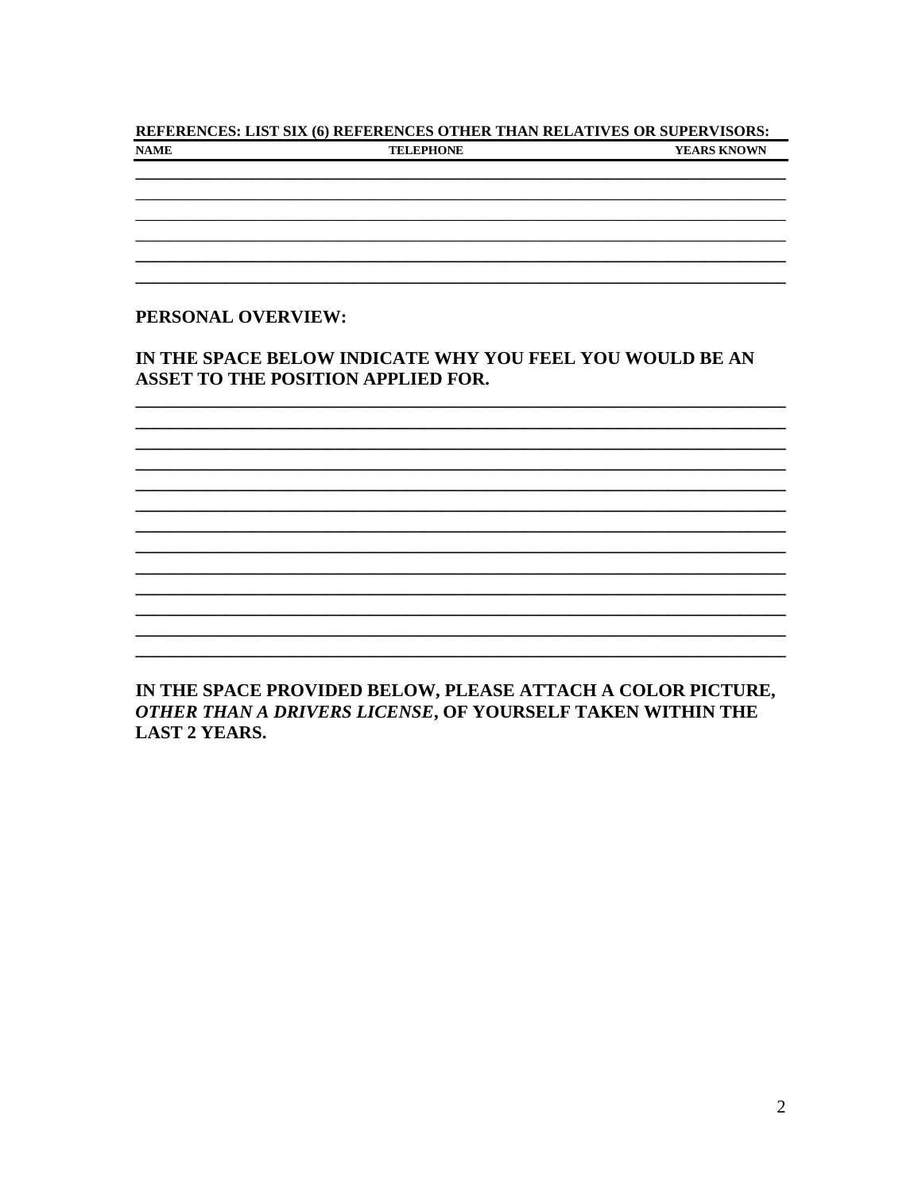#### REFERENCES: LIST SIX (6) REFERENCES OTHER THAN RELATIVES OR SUPERVISORS: **NAME TELEPHONE** YEARS KNOWN

#### PERSONAL OVERVIEW:

#### IN THE SPACE BELOW INDICATE WHY YOU FEEL YOU WOULD BE AN **ASSET TO THE POSITION APPLIED FOR.**

IN THE SPACE PROVIDED BELOW, PLEASE ATTACH A COLOR PICTURE, OTHER THAN A DRIVERS LICENSE, OF YOURSELF TAKEN WITHIN THE **LAST 2 YEARS.**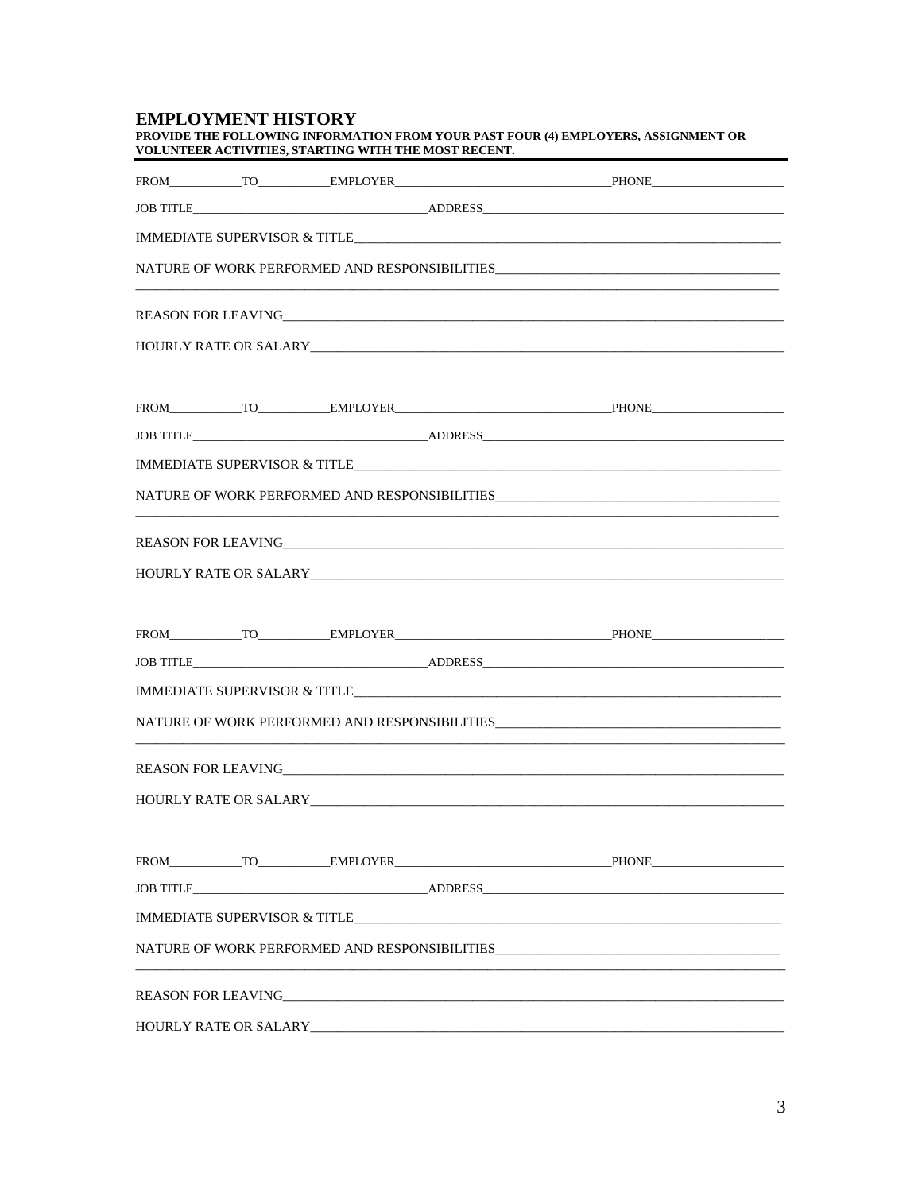## **EMPLOYMENT HISTORY**

| PROVIDE THE FOLLOWING INFORMATION FROM YOUR PAST FOUR (4) EMPLOYERS, ASSIGNMENT OR |  |
|------------------------------------------------------------------------------------|--|
| VOLUNTEER ACTIVITIES, STARTING WITH THE MOST RECENT.                               |  |

|                                         | HOURLY RATE OR SALARY NOTES AND THE RESERVE TO A REPORT OF THE RESERVE TO A REPORT OF THE RESERVE TO A REPORT OF THE RESERVE TO A REPORT OF THE RESERVE TO A REPORT OF THE REPORT OF THE REPORT OF THE REPORT OF THE REPORT OF |                              |  |
|-----------------------------------------|--------------------------------------------------------------------------------------------------------------------------------------------------------------------------------------------------------------------------------|------------------------------|--|
|                                         |                                                                                                                                                                                                                                |                              |  |
|                                         |                                                                                                                                                                                                                                |                              |  |
|                                         |                                                                                                                                                                                                                                |                              |  |
|                                         |                                                                                                                                                                                                                                |                              |  |
|                                         |                                                                                                                                                                                                                                |                              |  |
|                                         |                                                                                                                                                                                                                                |                              |  |
|                                         |                                                                                                                                                                                                                                | FROM TO EMPLOYER PHONE PHONE |  |
|                                         |                                                                                                                                                                                                                                | JOB TITLE ADDRESS ADDRESS    |  |
| <b>IMMEDIATE SUPERVISOR &amp; TITLE</b> |                                                                                                                                                                                                                                |                              |  |
|                                         |                                                                                                                                                                                                                                |                              |  |
|                                         | REASON FOR LEAVING THE STATE OF THE STATE OF THE STATE OF THE STATE OF THE STATE OF THE STATE OF THE STATE OF THE STATE OF THE STATE OF THE STATE OF THE STATE OF THE STATE OF THE STATE OF THE STATE OF THE STATE OF THE STAT |                              |  |
|                                         |                                                                                                                                                                                                                                |                              |  |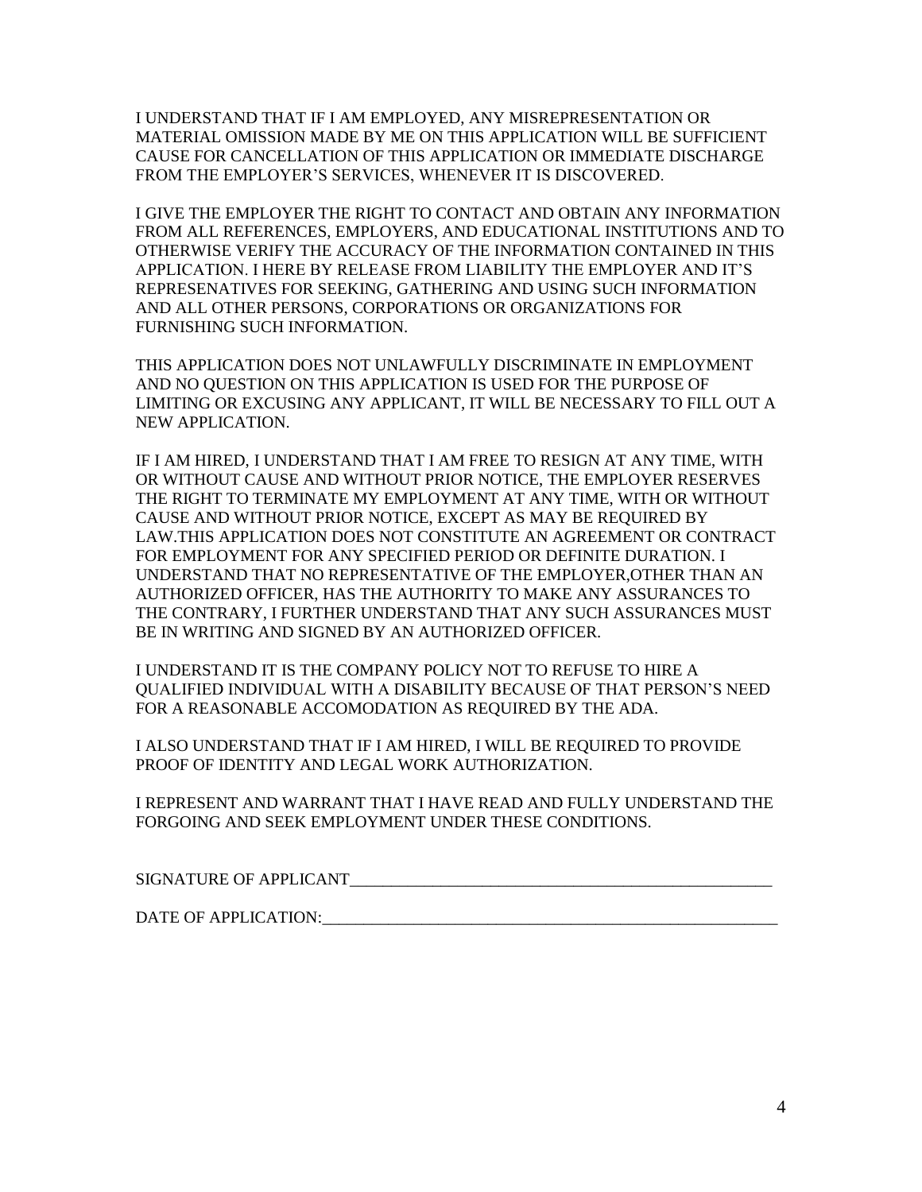I UNDERSTAND THAT IF I AM EMPLOYED, ANY MISREPRESENTATION OR MATERIAL OMISSION MADE BY ME ON THIS APPLICATION WILL BE SUFFICIENT CAUSE FOR CANCELLATION OF THIS APPLICATION OR IMMEDIATE DISCHARGE FROM THE EMPLOYER'S SERVICES, WHENEVER IT IS DISCOVERED.

I GIVE THE EMPLOYER THE RIGHT TO CONTACT AND OBTAIN ANY INFORMATION FROM ALL REFERENCES, EMPLOYERS, AND EDUCATIONAL INSTITUTIONS AND TO OTHERWISE VERIFY THE ACCURACY OF THE INFORMATION CONTAINED IN THIS APPLICATION. I HERE BY RELEASE FROM LIABILITY THE EMPLOYER AND IT'S REPRESENATIVES FOR SEEKING, GATHERING AND USING SUCH INFORMATION AND ALL OTHER PERSONS, CORPORATIONS OR ORGANIZATIONS FOR FURNISHING SUCH INFORMATION.

THIS APPLICATION DOES NOT UNLAWFULLY DISCRIMINATE IN EMPLOYMENT AND NO QUESTION ON THIS APPLICATION IS USED FOR THE PURPOSE OF LIMITING OR EXCUSING ANY APPLICANT, IT WILL BE NECESSARY TO FILL OUT A NEW APPLICATION.

IF I AM HIRED, I UNDERSTAND THAT I AM FREE TO RESIGN AT ANY TIME, WITH OR WITHOUT CAUSE AND WITHOUT PRIOR NOTICE, THE EMPLOYER RESERVES THE RIGHT TO TERMINATE MY EMPLOYMENT AT ANY TIME, WITH OR WITHOUT CAUSE AND WITHOUT PRIOR NOTICE, EXCEPT AS MAY BE REQUIRED BY LAW.THIS APPLICATION DOES NOT CONSTITUTE AN AGREEMENT OR CONTRACT FOR EMPLOYMENT FOR ANY SPECIFIED PERIOD OR DEFINITE DURATION. I UNDERSTAND THAT NO REPRESENTATIVE OF THE EMPLOYER,OTHER THAN AN AUTHORIZED OFFICER, HAS THE AUTHORITY TO MAKE ANY ASSURANCES TO THE CONTRARY, I FURTHER UNDERSTAND THAT ANY SUCH ASSURANCES MUST BE IN WRITING AND SIGNED BY AN AUTHORIZED OFFICER.

I UNDERSTAND IT IS THE COMPANY POLICY NOT TO REFUSE TO HIRE A QUALIFIED INDIVIDUAL WITH A DISABILITY BECAUSE OF THAT PERSON'S NEED FOR A REASONABLE ACCOMODATION AS REQUIRED BY THE ADA.

I ALSO UNDERSTAND THAT IF I AM HIRED, I WILL BE REQUIRED TO PROVIDE PROOF OF IDENTITY AND LEGAL WORK AUTHORIZATION.

I REPRESENT AND WARRANT THAT I HAVE READ AND FULLY UNDERSTAND THE FORGOING AND SEEK EMPLOYMENT UNDER THESE CONDITIONS.

SIGNATURE OF APPLICANT\_\_\_\_\_\_\_\_\_\_\_\_\_\_\_\_\_\_\_\_\_\_\_\_\_\_\_\_\_\_\_\_\_\_\_\_\_\_\_\_\_\_\_\_\_\_\_\_\_\_\_

DATE OF APPLICATION: